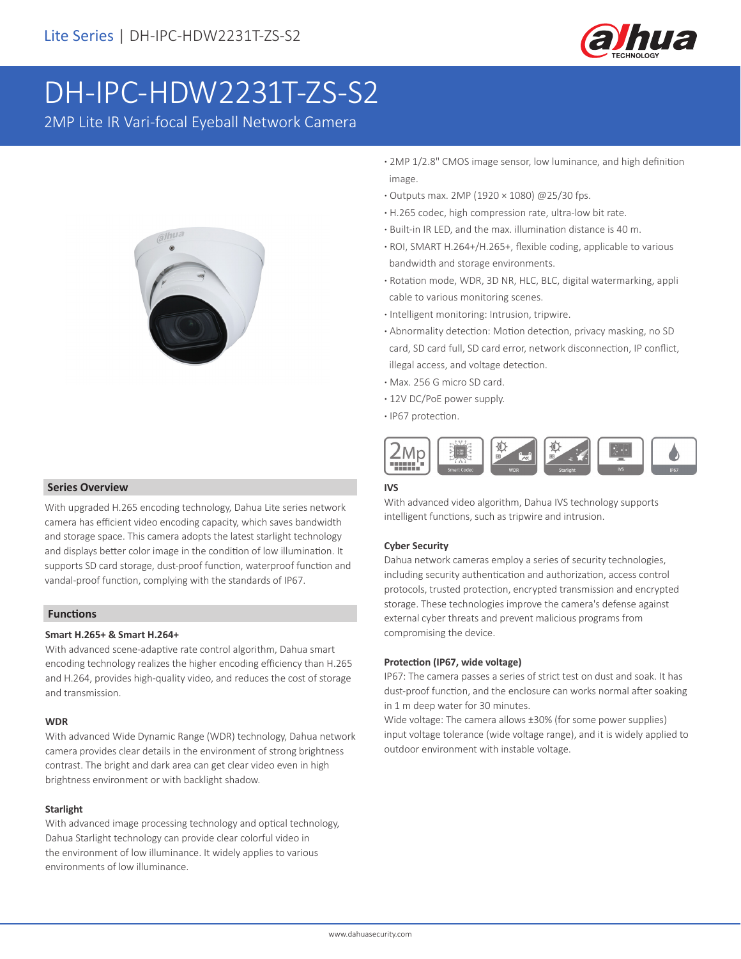

# DH-IPC-HDW2231T-ZS-S2

2MP Lite IR Vari-focal Eyeball Network Camera



## **Series Overview**

With upgraded H.265 encoding technology, Dahua Lite series network camera has efficient video encoding capacity, which saves bandwidth and storage space. This camera adopts the latest starlight technology and displays better color image in the condition of low illumination. It supports SD card storage, dust-proof function, waterproof function and vandal-proof function, complying with the standards of IP67.

#### **Functions**

#### **Smart H.265+ & Smart H.264+**

With advanced scene-adaptive rate control algorithm, Dahua smart encoding technology realizes the higher encoding efficiency than H.265 and H.264, provides high-quality video, and reduces the cost of storage and transmission.

#### **WDR**

With advanced Wide Dynamic Range (WDR) technology, Dahua network camera provides clear details in the environment of strong brightness contrast. The bright and dark area can get clear video even in high brightness environment or with backlight shadow.

#### **Starlight**

With advanced image processing technology and optical technology, Dahua Starlight technology can provide clear colorful video in the environment of low illuminance. It widely applies to various environments of low illuminance.

- **·** 2MP 1/2.8" CMOS image sensor, low luminance, and high definition image.
- **·** Outputs max. 2MP (1920 × 1080) @25/30 fps.
- **·** H.265 codec, high compression rate, ultra-low bit rate.
- **·** Built-in IR LED, and the max. illumination distance is 40 m.
- **·** ROI, SMART H.264+/H.265+, flexible coding, applicable to various bandwidth and storage environments.
- **·** Rotation mode, WDR, 3D NR, HLC, BLC, digital watermarking, appli cable to various monitoring scenes.
- **·** Intelligent monitoring: Intrusion, tripwire.
- **·** Abnormality detection: Motion detection, privacy masking, no SD card, SD card full, SD card error, network disconnection, IP conflict, illegal access, and voltage detection.
- **·** Max. 256 G micro SD card.
- **·** 12V DC/PoE power supply.
- **·** IP67 protection.



#### **IVS**

With advanced video algorithm, Dahua IVS technology supports intelligent functions, such as tripwire and intrusion.

#### **Cyber Security**

Dahua network cameras employ a series of security technologies, including security authentication and authorization, access control protocols, trusted protection, encrypted transmission and encrypted storage. These technologies improve the camera's defense against external cyber threats and prevent malicious programs from compromising the device.

#### **Protection (IP67, wide voltage)**

IP67: The camera passes a series of strict test on dust and soak. It has dust-proof function, and the enclosure can works normal after soaking in 1 m deep water for 30 minutes.

Wide voltage: The camera allows ±30% (for some power supplies) input voltage tolerance (wide voltage range), and it is widely applied to outdoor environment with instable voltage.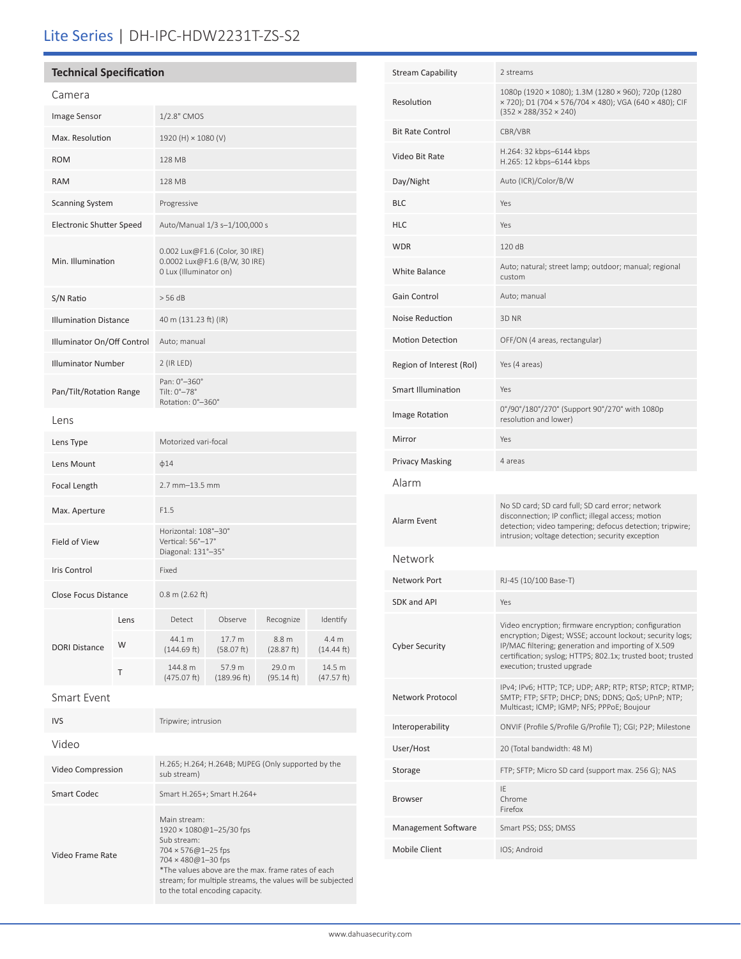# Lite Series | DH-IPC-HDW2231T-ZS-S2

# **Technical Specification**

Video

Video Frame Rate

| Camera                          |      |                                                                                           |                       |                      |                      |
|---------------------------------|------|-------------------------------------------------------------------------------------------|-----------------------|----------------------|----------------------|
| Image Sensor                    |      | 1/2.8" CMOS                                                                               |                       |                      |                      |
| Max. Resolution                 |      | 1920 (H) × 1080 (V)                                                                       |                       |                      |                      |
| <b>ROM</b>                      |      | 128 MB                                                                                    |                       |                      |                      |
| <b>RAM</b>                      |      | 128 MB                                                                                    |                       |                      |                      |
| <b>Scanning System</b>          |      | Progressive                                                                               |                       |                      |                      |
| <b>Electronic Shutter Speed</b> |      | Auto/Manual 1/3 s-1/100,000 s                                                             |                       |                      |                      |
| Min. Illumination               |      | 0.002 Lux@F1.6 (Color, 30 IRE)<br>0.0002 Lux@F1.6 (B/W, 30 IRE)<br>0 Lux (Illuminator on) |                       |                      |                      |
| S/N Ratio                       |      | > 56 dB                                                                                   |                       |                      |                      |
| <b>Illumination Distance</b>    |      | 40 m (131.23 ft) (IR)                                                                     |                       |                      |                      |
| Illuminator On/Off Control      |      | Auto; manual                                                                              |                       |                      |                      |
| <b>Illuminator Number</b>       |      | 2 (IR LED)                                                                                |                       |                      |                      |
| Pan/Tilt/Rotation Range         |      | Pan: 0°-360°<br>Tilt: 0°-78°<br>Rotation: 0°-360°                                         |                       |                      |                      |
| Lens                            |      |                                                                                           |                       |                      |                      |
| Lens Type                       |      | Motorized vari-focal                                                                      |                       |                      |                      |
| Lens Mount                      |      | $\phi$ 14                                                                                 |                       |                      |                      |
| Focal Length                    |      | $2.7$ mm $-13.5$ mm                                                                       |                       |                      |                      |
| Max. Aperture                   |      | F1.5                                                                                      |                       |                      |                      |
| Field of View                   |      | Horizontal: 108°-30°<br>Vertical: 56°-17°<br>Diagonal: 131°-35°                           |                       |                      |                      |
| Iris Control                    |      | Fixed                                                                                     |                       |                      |                      |
| Close Focus Distance            |      | $0.8 \text{ m}$ (2.62 ft)                                                                 |                       |                      |                      |
| <b>DORI Distance</b>            | Lens | Detect                                                                                    | Observe               | Recognize            | Identify             |
|                                 | W    | 44.1 m<br>(144.69 ft)                                                                     | 17.7 m<br>(58.07 ft)  | 8.8 m<br>(28.87 ft)  | 4.4 m<br>(14.44 ft)  |
|                                 | Τ    | 144.8 m<br>(475.07 ft)                                                                    | 57.9 m<br>(189.96 ft) | 29.0 m<br>(95.14 ft) | 14.5 m<br>(47.57 ft) |
| Smart Event                     |      |                                                                                           |                       |                      |                      |
| <b>IVS</b>                      |      | Tripwire; intrusion                                                                       |                       |                      |                      |

Video Compression H.265; H.264; H.264B; MJPEG (Only supported by the cub stream) sub stream)

1920 × 1080@1–25/30 fps

to the total encoding capacity.

\*The values above are the max. frame rates of each stream; for multiple streams, the values will be subjected

Main stream:

Sub stream: 704 × 576@1–25 fps 704 × 480@1–30 fps

Smart Codec Smart H.265+; Smart H.264+

| <b>Stream Capability</b>  | 2 streams                                                                                                                                                                                                                                                             |  |  |
|---------------------------|-----------------------------------------------------------------------------------------------------------------------------------------------------------------------------------------------------------------------------------------------------------------------|--|--|
| Resolution                | 1080p (1920 × 1080); 1.3M (1280 × 960); 720p (1280<br>x 720); D1 (704 x 576/704 x 480); VGA (640 x 480); CIF<br>$(352 \times 288/352 \times 240)$                                                                                                                     |  |  |
| <b>Bit Rate Control</b>   | CBR/VBR                                                                                                                                                                                                                                                               |  |  |
| Video Bit Rate            | H.264: 32 kbps-6144 kbps<br>H.265: 12 kbps-6144 kbps                                                                                                                                                                                                                  |  |  |
| Day/Night                 | Auto (ICR)/Color/B/W                                                                                                                                                                                                                                                  |  |  |
| <b>BLC</b>                | Yes                                                                                                                                                                                                                                                                   |  |  |
| <b>HLC</b>                | Yes                                                                                                                                                                                                                                                                   |  |  |
| <b>WDR</b>                | 120 dB                                                                                                                                                                                                                                                                |  |  |
| <b>White Balance</b>      | Auto; natural; street lamp; outdoor; manual; regional<br>custom                                                                                                                                                                                                       |  |  |
| Gain Control              | Auto; manual                                                                                                                                                                                                                                                          |  |  |
| Noise Reduction           | 3D <sub>NR</sub>                                                                                                                                                                                                                                                      |  |  |
| <b>Motion Detection</b>   | OFF/ON (4 areas, rectangular)                                                                                                                                                                                                                                         |  |  |
| Region of Interest (RoI)  | Yes (4 areas)                                                                                                                                                                                                                                                         |  |  |
| <b>Smart Illumination</b> | Yes                                                                                                                                                                                                                                                                   |  |  |
| Image Rotation            | 0°/90°/180°/270° (Support 90°/270° with 1080p<br>resolution and lower)                                                                                                                                                                                                |  |  |
| Mirror                    | Yes                                                                                                                                                                                                                                                                   |  |  |
| <b>Privacy Masking</b>    | 4 areas                                                                                                                                                                                                                                                               |  |  |
| Alarm                     |                                                                                                                                                                                                                                                                       |  |  |
| Alarm Event               | No SD card; SD card full; SD card error; network<br>disconnection; IP conflict; illegal access; motion<br>detection; video tampering; defocus detection; tripwire;<br>intrusion; voltage detection; security exception                                                |  |  |
| Network                   |                                                                                                                                                                                                                                                                       |  |  |
| Network Port              | RJ-45 (10/100 Base-T)                                                                                                                                                                                                                                                 |  |  |
| SDK and API               | Yes                                                                                                                                                                                                                                                                   |  |  |
| <b>Cyber Security</b>     | Video encryption; firmware encryption; configuration<br>encryption; Digest; WSSE; account lockout; security logs;<br>IP/MAC filtering; generation and importing of X.509<br>certification; syslog; HTTPS; 802.1x; trusted boot; trusted<br>execution; trusted upgrade |  |  |
| Network Protocol          | IPv4; IPv6; HTTP; TCP; UDP; ARP; RTP; RTSP; RTCP; RTMP;<br>SMTP; FTP; SFTP; DHCP; DNS; DDNS; QoS; UPnP; NTP;<br>Multicast; ICMP; IGMP; NFS; PPPoE; Boujour                                                                                                            |  |  |
| Interoperability          | ONVIF (Profile S/Profile G/Profile T); CGI; P2P; Milestone                                                                                                                                                                                                            |  |  |
| User/Host                 | 20 (Total bandwidth: 48 M)                                                                                                                                                                                                                                            |  |  |
| Storage                   | FTP; SFTP; Micro SD card (support max. 256 G); NAS                                                                                                                                                                                                                    |  |  |
| Browser                   | IE<br>Chrome<br>Firefox                                                                                                                                                                                                                                               |  |  |
| Management Software       | Smart PSS; DSS; DMSS                                                                                                                                                                                                                                                  |  |  |
| Mobile Client             | IOS; Android                                                                                                                                                                                                                                                          |  |  |